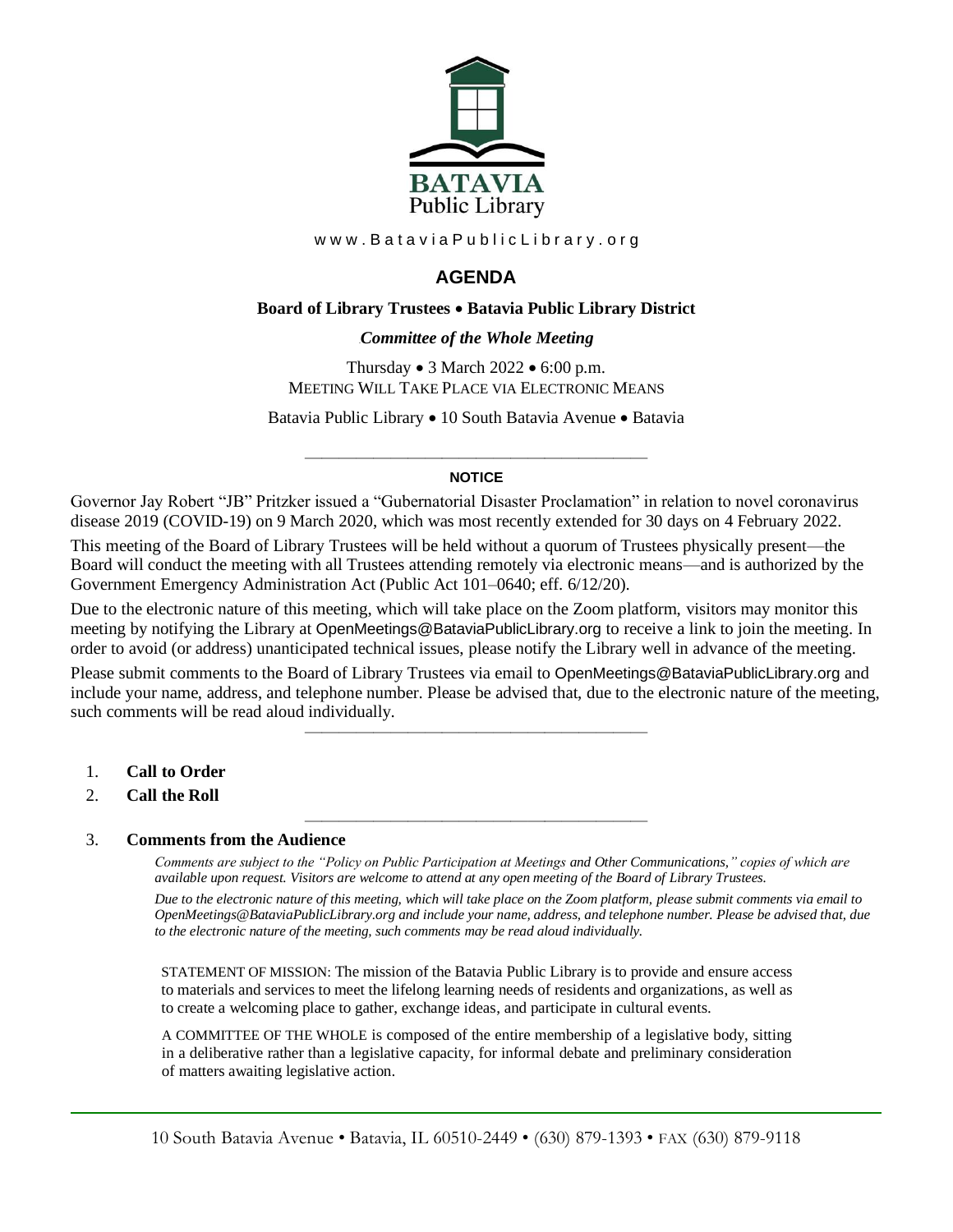

www.BataviaPublicLibrary.org

# **AGENDA**

## **Board of Library Trustees** • **Batavia Public Library District**

## 0B*Committee of the Whole Meeting*

Thursday • 3 March 2022 • 6:00 p.m. MEETING WILL TAKE PLACE VIA ELECTRONIC MEANS

Batavia Public Library • 10 South Batavia Avenue • Batavia

### ———————————————————— **NOTICE**

Governor Jay Robert "JB" Pritzker issued a "Gubernatorial Disaster Proclamation" in relation to novel coronavirus disease 2019 (COVID-19) on 9 March 2020, which was most recently extended for 30 days on 4 February 2022. This meeting of the Board of Library Trustees will be held without a quorum of Trustees physically present—the Board will conduct the meeting with all Trustees attending remotely via electronic means—and is authorized by the Government Emergency Administration Act (Public Act 101–0640; eff. 6/12/20).

Due to the electronic nature of this meeting, which will take place on the Zoom platform, visitors may monitor this meeting by notifying the Library at OpenMeetings@BataviaPublicLibrary.org to receive a link to join the meeting. In order to avoid (or address) unanticipated technical issues, please notify the Library well in advance of the meeting.

Please submit comments to the Board of Library Trustees via email to OpenMeetings@BataviaPublicLibrary.org and include your name, address, and telephone number. Please be advised that, due to the electronic nature of the meeting, such comments will be read aloud individually.

————————————————————

————————————————————

- 1. **Call to Order**
- 2. **Call the Roll**

## 3. **Comments from the Audience**

*Comments are subject to the "Policy on Public Participation at Meetings and Other Communications," copies of which are available upon request. Visitors are welcome to attend at any open meeting of the Board of Library Trustees.*

*Due to the electronic nature of this meeting, which will take place on the Zoom platform, please submit comments via email to OpenMeetings@BataviaPublicLibrary.org and include your name, address, and telephone number. Please be advised that, due to the electronic nature of the meeting, such comments may be read aloud individually.*

STATEMENT OF MISSION: The mission of the Batavia Public Library is to provide and ensure access to materials and services to meet the lifelong learning needs of residents and organizations, as well as to create a welcoming place to gather, exchange ideas, and participate in cultural events.

A COMMITTEE OF THE WHOLE is composed of the entire membership of a legislative body, sitting in a deliberative rather than a legislative capacity, for informal debate and preliminary consideration of matters awaiting legislative action.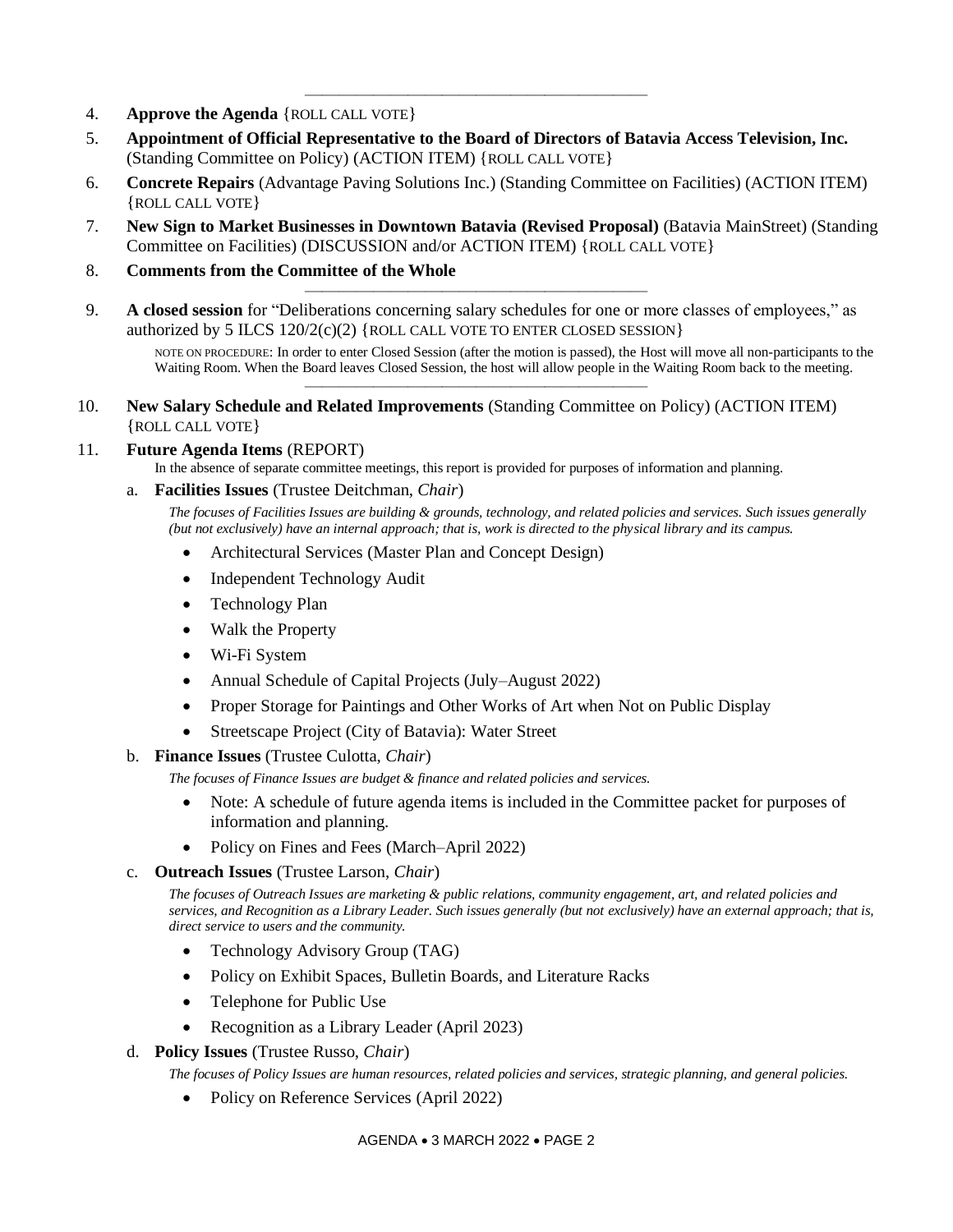- 4. **Approve the Agenda** {ROLL CALL VOTE}
- 5. **Appointment of Official Representative to the Board of Directors of Batavia Access Television, Inc.** (Standing Committee on Policy) (ACTION ITEM) {ROLL CALL VOTE}

————————————————————

- 6. **Concrete Repairs** (Advantage Paving Solutions Inc.) (Standing Committee on Facilities) (ACTION ITEM) {ROLL CALL VOTE}
- 7. **New Sign to Market Businesses in Downtown Batavia (Revised Proposal)** (Batavia MainStreet) (Standing Committee on Facilities) (DISCUSSION and/or ACTION ITEM) {ROLL CALL VOTE}
- 8. **Comments from the Committee of the Whole**
- 9. **A closed session** for "Deliberations concerning salary schedules for one or more classes of employees," as authorized by 5 ILCS  $120/2(c)(2)$  {ROLL CALL VOTE TO ENTER CLOSED SESSION}

————————————————————

————————————————————

NOTE ON PROCEDURE: In order to enter Closed Session (after the motion is passed), the Host will move all non-participants to the Waiting Room. When the Board leaves Closed Session, the host will allow people in the Waiting Room back to the meeting.

10. **New Salary Schedule and Related Improvements** (Standing Committee on Policy) (ACTION ITEM) {ROLL CALL VOTE}

## 11. **Future Agenda Items** (REPORT)

In the absence of separate committee meetings, this report is provided for purposes of information and planning.

a. **Facilities Issues** (Trustee Deitchman, *Chair*)

*The focuses of Facilities Issues are building & grounds, technology, and related policies and services. Such issues generally (but not exclusively) have an internal approach; that is, work is directed to the physical library and its campus.*

- Architectural Services (Master Plan and Concept Design)
- Independent Technology Audit
- Technology Plan
- Walk the Property
- Wi-Fi System
- Annual Schedule of Capital Projects (July–August 2022)
- Proper Storage for Paintings and Other Works of Art when Not on Public Display
- Streetscape Project (City of Batavia): Water Street

#### b. **Finance Issues** (Trustee Culotta, *Chair*)

*The focuses of Finance Issues are budget & finance and related policies and services.*

- Note: A schedule of future agenda items is included in the Committee packet for purposes of information and planning.
- Policy on Fines and Fees (March–April 2022)

#### c. **Outreach Issues** (Trustee Larson, *Chair*)

*The focuses of Outreach Issues are marketing & public relations, community engagement, art, and related policies and services, and Recognition as a Library Leader. Such issues generally (but not exclusively) have an external approach; that is, direct service to users and the community.*

- Technology Advisory Group (TAG)
- Policy on Exhibit Spaces, Bulletin Boards, and Literature Racks
- Telephone for Public Use
- Recognition as a Library Leader (April 2023)

#### d. **Policy Issues** (Trustee Russo, *Chair*)

*The focuses of Policy Issues are human resources, related policies and services, strategic planning, and general policies.*

• Policy on Reference Services (April 2022)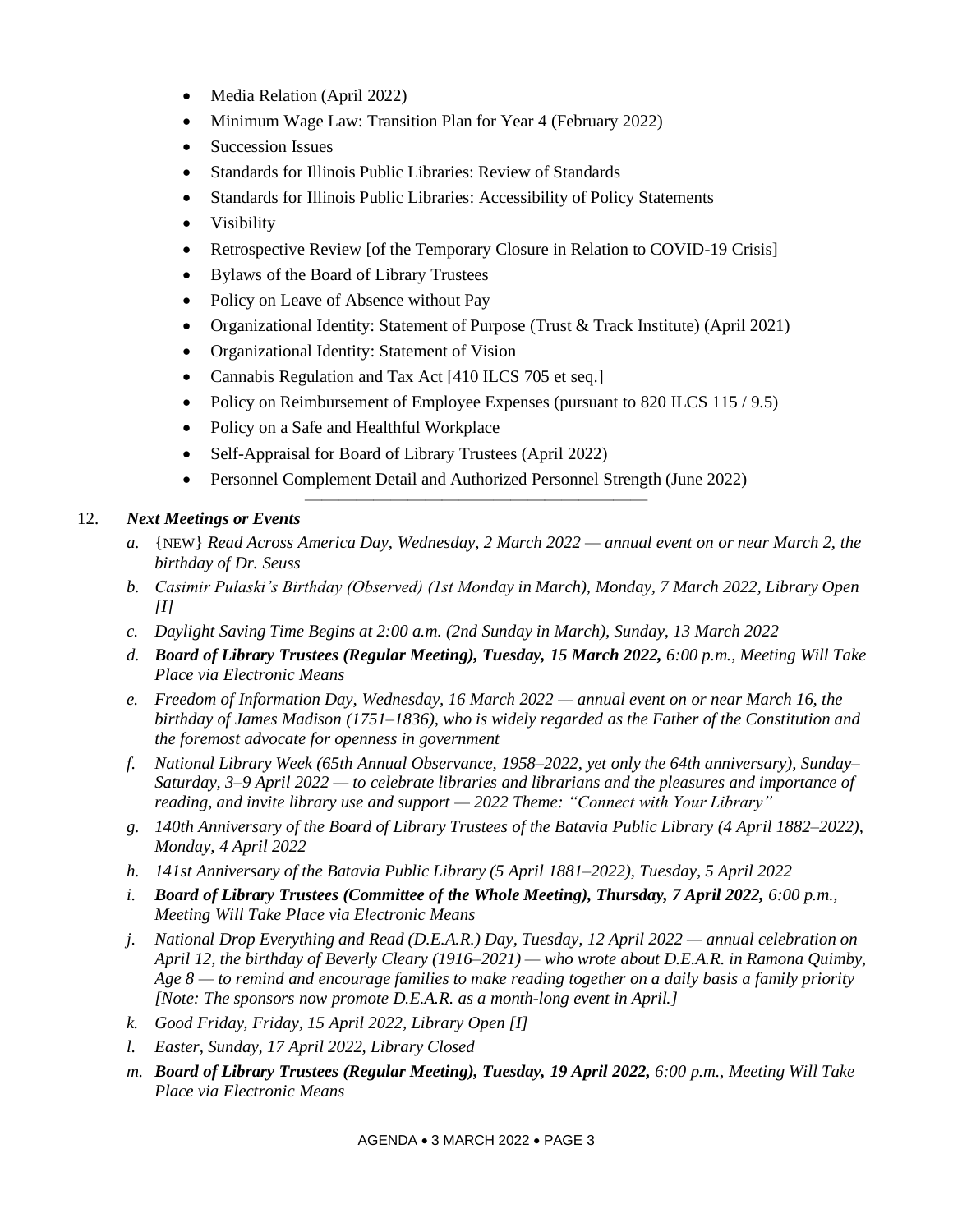- Media Relation (April 2022)
- Minimum Wage Law: Transition Plan for Year 4 (February 2022)
- Succession Issues
- Standards for Illinois Public Libraries: Review of Standards
- Standards for Illinois Public Libraries: Accessibility of Policy Statements
- Visibility
- Retrospective Review [of the Temporary Closure in Relation to COVID-19 Crisis]
- Bylaws of the Board of Library Trustees
- Policy on Leave of Absence without Pay
- Organizational Identity: Statement of Purpose (Trust & Track Institute) (April 2021)
- Organizational Identity: Statement of Vision
- Cannabis Regulation and Tax Act [410 ILCS 705 et seq.]
- Policy on Reimbursement of Employee Expenses (pursuant to 820 ILCS 115 / 9.5)
- Policy on a Safe and Healthful Workplace
- Self-Appraisal for Board of Library Trustees (April 2022)
- Personnel Complement Detail and Authorized Personnel Strength (June 2022)

————————————————————

# 12. *Next Meetings or Events*

- *a.* {NEW} *Read Across America Day, Wednesday, 2 March 2022 — annual event on or near March 2, the birthday of Dr. Seuss*
- *b. Casimir Pulaski's Birthday (Observed) (1st Monday in March), Monday, 7 March 2022, Library Open [I]*
- *c. Daylight Saving Time Begins at 2:00 a.m. (2nd Sunday in March), Sunday, 13 March 2022*
- *d. Board of Library Trustees (Regular Meeting), Tuesday, 15 March 2022, 6:00 p.m., Meeting Will Take Place via Electronic Means*
- *e. Freedom of Information Day, Wednesday, 16 March 2022 — annual event on or near March 16, the birthday of James Madison (1751–1836), who is widely regarded as the Father of the Constitution and the foremost advocate for openness in government*
- *f. National Library Week (65th Annual Observance, 1958–2022, yet only the 64th anniversary), Sunday– Saturday, 3–9 April 2022 — to celebrate libraries and librarians and the pleasures and importance of reading, and invite library use and support — 2022 Theme: "Connect with Your Library"*
- *g. 140th Anniversary of the Board of Library Trustees of the Batavia Public Library (4 April 1882–2022), Monday, 4 April 2022*
- *h. 141st Anniversary of the Batavia Public Library (5 April 1881–2022), Tuesday, 5 April 2022*
- *i. Board of Library Trustees (Committee of the Whole Meeting), Thursday, 7 April 2022, 6:00 p.m., Meeting Will Take Place via Electronic Means*
- *j. National Drop Everything and Read (D.E.A.R.) Day, Tuesday, 12 April 2022 — annual celebration on April 12, the birthday of Beverly Cleary (1916–2021) — who wrote about D.E.A.R. in Ramona Quimby, Age 8 — to remind and encourage families to make reading together on a daily basis a family priority [Note: The sponsors now promote D.E.A.R. as a month-long event in April.]*
- *k. Good Friday, Friday, 15 April 2022, Library Open [I]*
- *l. Easter, Sunday, 17 April 2022, Library Closed*
- *m. Board of Library Trustees (Regular Meeting), Tuesday, 19 April 2022, 6:00 p.m., Meeting Will Take Place via Electronic Means*